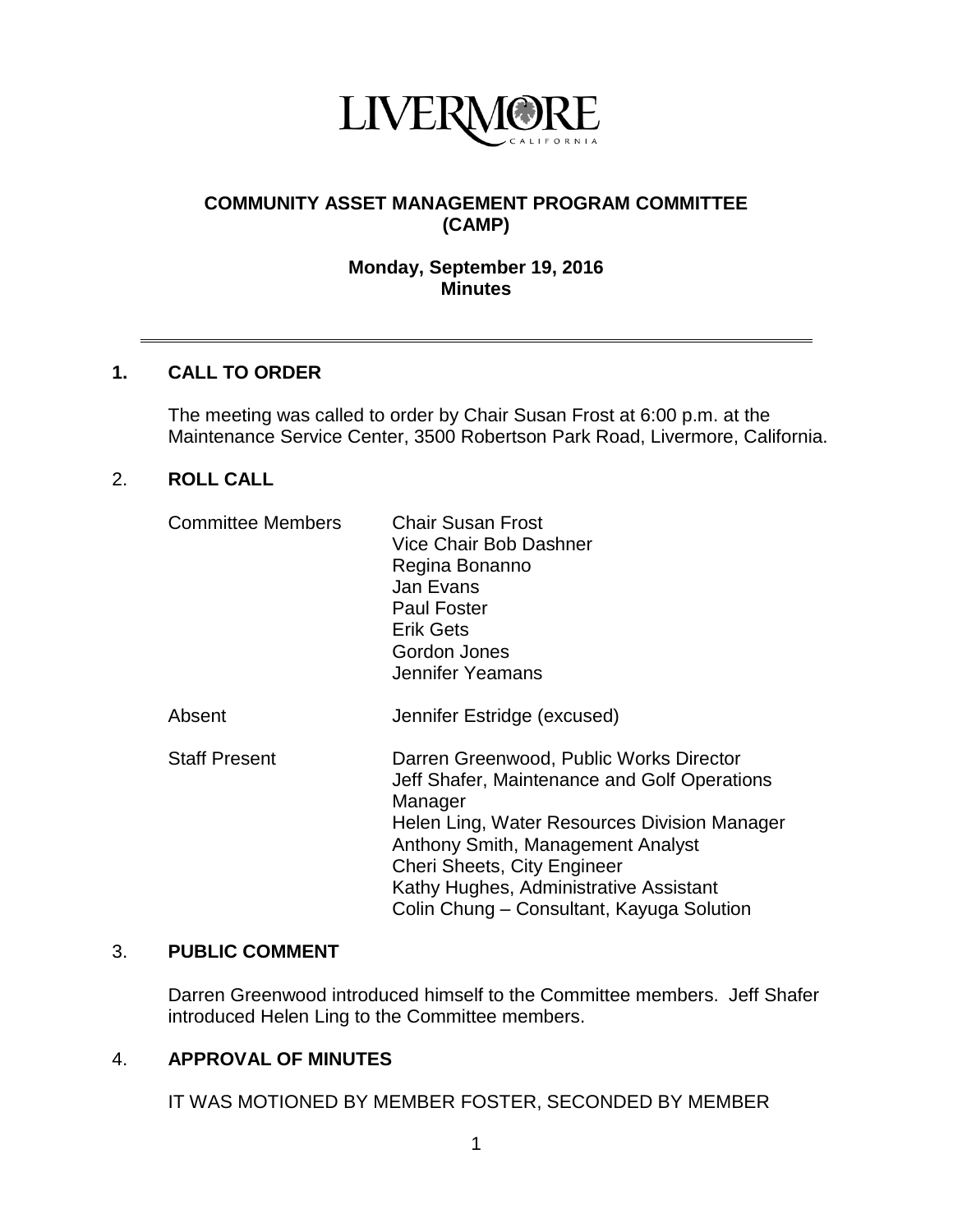

# **COMMUNITY ASSET MANAGEMENT PROGRAM COMMITTEE (CAMP)**

## **Monday, September 19, 2016 Minutes**

### **1. CALL TO ORDER**

The meeting was called to order by Chair Susan Frost at 6:00 p.m. at the Maintenance Service Center, 3500 Robertson Park Road, Livermore, California.

### 2. **ROLL CALL**

| <b>Committee Members</b> | <b>Chair Susan Frost</b><br>Vice Chair Bob Dashner<br>Regina Bonanno<br>Jan Evans<br><b>Paul Foster</b><br><b>Erik Gets</b><br>Gordon Jones<br>Jennifer Yeamans                                                                                                                                               |
|--------------------------|---------------------------------------------------------------------------------------------------------------------------------------------------------------------------------------------------------------------------------------------------------------------------------------------------------------|
| Absent                   | Jennifer Estridge (excused)                                                                                                                                                                                                                                                                                   |
| <b>Staff Present</b>     | Darren Greenwood, Public Works Director<br>Jeff Shafer, Maintenance and Golf Operations<br>Manager<br>Helen Ling, Water Resources Division Manager<br>Anthony Smith, Management Analyst<br>Cheri Sheets, City Engineer<br>Kathy Hughes, Administrative Assistant<br>Colin Chung – Consultant, Kayuga Solution |

### 3. **PUBLIC COMMENT**

Darren Greenwood introduced himself to the Committee members. Jeff Shafer introduced Helen Ling to the Committee members.

### 4. **APPROVAL OF MINUTES**

IT WAS MOTIONED BY MEMBER FOSTER, SECONDED BY MEMBER